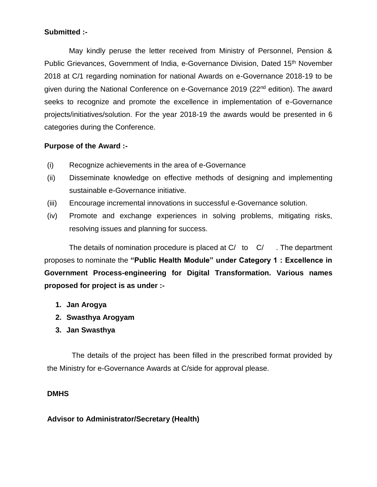## **Submitted :-**

 May kindly peruse the letter received from Ministry of Personnel, Pension & Public Grievances, Government of India, e-Governance Division, Dated 15<sup>th</sup> November 2018 at C/1 regarding nomination for national Awards on e-Governance 2018-19 to be given during the National Conference on e-Governance 2019 (22nd edition). The award seeks to recognize and promote the excellence in implementation of e-Governance projects/initiatives/solution. For the year 2018-19 the awards would be presented in 6 categories during the Conference.

### **Purpose of the Award :-**

- (i) Recognize achievements in the area of e-Governance
- (ii) Disseminate knowledge on effective methods of designing and implementing sustainable e-Governance initiative.
- (iii) Encourage incremental innovations in successful e-Governance solution.
- (iv) Promote and exchange experiences in solving problems, mitigating risks, resolving issues and planning for success.

The details of nomination procedure is placed at  $C/$  to  $C/$  . The department proposes to nominate the **"Public Health Module" under Category 1 : Excellence in Government Process-engineering for Digital Transformation. Various names proposed for project is as under :-**

- **1. Jan Arogya**
- **2. Swasthya Arogyam**
- **3. Jan Swasthya**

 The details of the project has been filled in the prescribed format provided by the Ministry for e-Governance Awards at C/side for approval please.

### **DMHS**

### **Advisor to Administrator/Secretary (Health)**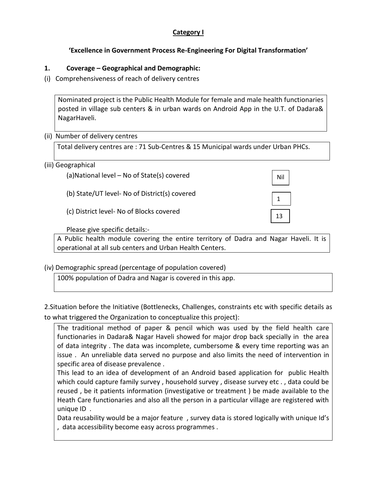## **Category I**

## **'Excellence in Government Process Re-Engineering For Digital Transformation'**

#### **1. Coverage – Geographical and Demographic:**

(i) Comprehensiveness of reach of delivery centres

Nominated project is the Public Health Module for female and male health functionaries posted in village sub centers & in urban wards on Android App in the U.T. of Dadara& NagarHaveli.

#### (ii) Number of delivery centres

Total delivery centres are : 71 Sub-Centres & 15 Municipal wards under Urban PHCs.

#### (iii) Geographical

(a)National level – No of State(s) covered

(b) State/UT level- No of District(s) covered

(c) District level- No of Blocks covered

Please give specific details:-

A Public health module covering the entire territory of Dadra and Nagar Haveli. It is operational at all sub centers and Urban Health Centers.

Nil

1

13 wa

### (iv) Demographic spread (percentage of population covered)

100% population of Dadra and Nagar is covered in this app.

2.Situation before the Initiative (Bottlenecks, Challenges, constraints etc with specific details as to what triggered the Organization to conceptualize this project):

The traditional method of paper & pencil which was used by the field health care functionaries in Dadara& Nagar Haveli showed for major drop back specially in the area of data integrity . The data was incomplete, cumbersome & every time reporting was an issue . An unreliable data served no purpose and also limits the need of intervention in specific area of disease prevalence .

This lead to an idea of development of an Android based application for public Health which could capture family survey, household survey, disease survey etc., data could be reused , be it patients information (investigative or treatment ) be made available to the Heath Care functionaries and also all the person in a particular village are registered with unique ID .

Data reusability would be a major feature , survey data is stored logically with unique Id's , data accessibility become easy across programmes .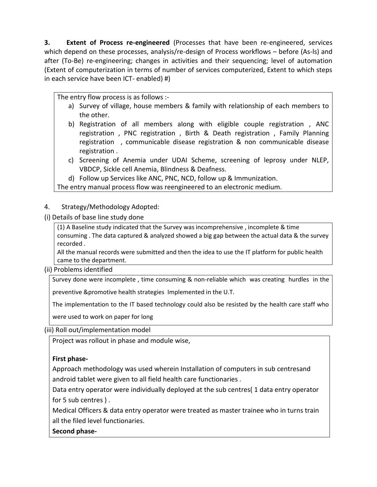**3. Extent of Process re-engineered** (Processes that have been re-engineered, services which depend on these processes, analysis/re-design of Process workflows – before (As-ls) and after (To-Be) re-engineering; changes in activities and their sequencing; level of automation (Extent of computerization in terms of number of services computerized, Extent to which steps in each service have been ICT- enabled) #)

The entry flow process is as follows :-

- a) Survey of village, house members & family with relationship of each members to the other.
- b) Registration of all members along with eligible couple registration , ANC registration , PNC registration , Birth & Death registration , Family Planning registration , communicable disease registration & non communicable disease registration .
- c) Screening of Anemia under UDAI Scheme, screening of leprosy under NLEP, VBDCP, Sickle cell Anemia, Blindness & Deafness.
- d) Follow up Services like ANC, PNC, NCD, follow up & Immunization.

The entry manual process flow was reengineered to an electronic medium.

- 4. Strategy/Methodology Adopted:
- (i) Details of base line study done

(1) A Baseline study indicated that the Survey was incomprehensive , incomplete & time consuming . The data captured & analyzed showed a big gap between the actual data & the survey recorded .

All the manual records were submitted and then the idea to use the IT platform for public health came to the department.

(ii) Problems identified

Survey done were incomplete , time consuming & non-reliable which was creating hurdles in the

preventive &promotive health strategies Implemented in the U.T.

The implementation to the IT based technology could also be resisted by the health care staff who

were used to work on paper for long

(iii) Roll out/implementation model

Project was rollout in phase and module wise,

# **First phase-**

Approach methodology was used wherein Installation of computers in sub centresand android tablet were given to all field health care functionaries .

Data entry operator were individually deployed at the sub centres( 1 data entry operator for 5 sub centres ) .

Medical Officers & data entry operator were treated as master trainee who in turns train all the filed level functionaries.

**Second phase-**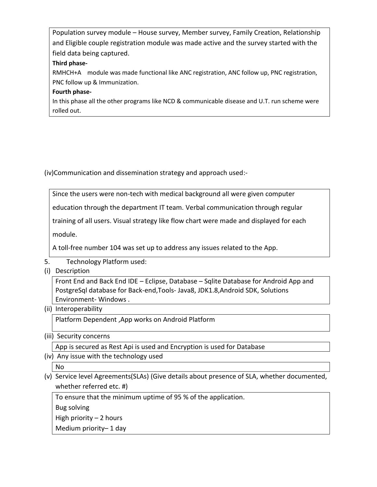Population survey module – House survey, Member survey, Family Creation, Relationship and Eligible couple registration module was made active and the survey started with the field data being captured.

#### **Third phase-**

RMHCH+A module was made functional like ANC registration, ANC follow up, PNC registration, PNC follow up & Immunization.

### **Fourth phase-**

In this phase all the other programs like NCD & communicable disease and U.T. run scheme were rolled out.

(iv)Communication and dissemination strategy and approach used:-

Since the users were non-tech with medical background all were given computer

education through the department IT team. Verbal communication through regular

training of all users. Visual strategy like flow chart were made and displayed for each

module.

A toll-free number 104 was set up to address any issues related to the App.

- 5. Technology Platform used:
- (i) Description

Front End and Back End IDE – Eclipse, Database – Sqlite Database for Android App and PostgreSql database for Back-end,Tools- Java8, JDK1.8,Android SDK, Solutions Environment- Windows .

(ii) Interoperability

Platform Dependent ,App works on Android Platform

(iii) Security concerns

App is secured as Rest Api is used and Encryption is used for Database

(iv) Any issue with the technology used

No

(v) Service level Agreements(SLAs) (Give details about presence of SLA, whether documented, whether referred etc. #)

To ensure that the minimum uptime of 95 % of the application.

Bug solving

High priority  $-2$  hours

Medium priority– 1 day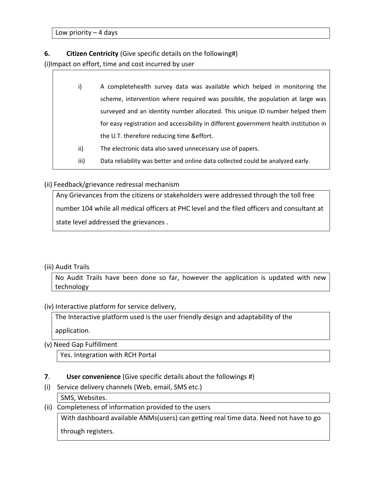Low priority  $-4$  days

#### **6. Citizen Centricity** (Give specific details on the following#)

(i)Impact on effort, time and cost incurred by user

- i) A completehealth survey data was available which helped in monitoring the scheme, intervention where required was possible, the population at large was surveyed and an identity number allocated. This unique ID number helped them for easy registration and accessibility in different government health institution in the U.T. therefore reducing time &effort.
- ii) The electronic data also saved unnecessary use of papers.
- iii) Data reliability was better and online data collected could be analyzed early.

#### (ii) Feedback/grievance redressal mechanism

Any Grievances from the citizens or stakeholders were addressed through the toll free number 104 while all medical officers at PHC level and the filed officers and consultant at state level addressed the grievances .

#### (iii) Audit Trails

No Audit Trails have been done so far, however the application is updated with new technology

(iv) Interactive platform for service delivery,

The Interactive platform used is the user friendly design and adaptability of the application.

(v) Need Gap Fulfillment

Yes. Integration with RCH Portal

- **7**. **User convenience** (Give specific details about the followings #)
- (i) Service delivery channels (Web, email, SMS etc.) SMS, Websites.
- (ii) Completeness of information provided to the users

With dashboard available ANMs(users) can getting real time data. Need not have to go

through registers.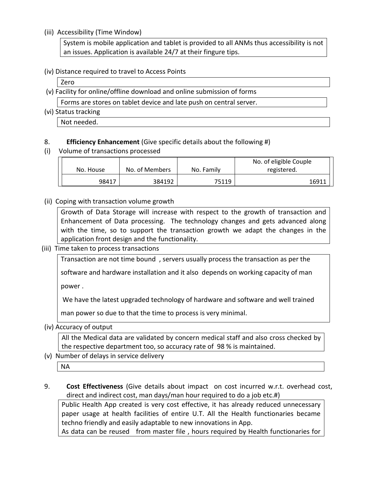#### (iii) Accessibility (Time Window)

System is mobile application and tablet is provided to all ANMs thus accessibility is not an issues. Application is available 24/7 at their fingure tips.

#### (iv) Distance required to travel to Access Points

Zero

- (v) Facility for online/offline download and online submission of forms Forms are stores on tablet device and late push on central server.
- (vi) Status tracking

Not needed.

## 8. **Efficiency Enhancement** (Give specific details about the following #)

(i) Volume of transactions processed

| No. House | No. of Members | No. Family | No. of eligible Couple<br>registered. |
|-----------|----------------|------------|---------------------------------------|
| 98417     | 384192         | 75119      | 16911                                 |

(ii) Coping with transaction volume growth

Growth of Data Storage will increase with respect to the growth of transaction and Enhancement of Data processing. The technology changes and gets advanced along with the time, so to support the transaction growth we adapt the changes in the application front design and the functionality.

(iii) Time taken to process transactions

Transaction are not time bound , servers usually process the transaction as per the

software and hardware installation and it also depends on working capacity of man

power .

We have the latest upgraded technology of hardware and software and well trained

man power so due to that the time to process is very minimal.

(iv) Accuracy of output

All the Medical data are validated by concern medical staff and also cross checked by the respective department too, so accuracy rate of 98 % is maintained.

(v) Number of delays in service delivery

NA

9. **Cost Effectiveness** (Give details about impact on cost incurred w.r.t. overhead cost, direct and indirect cost, man days/man hour required to do a job etc.#)

Public Health App created is very cost effective, it has already reduced unnecessary paper usage at health facilities of entire U.T. All the Health functionaries became techno friendly and easily adaptable to new innovations in App.

As data can be reused from master file, hours required by Health functionaries for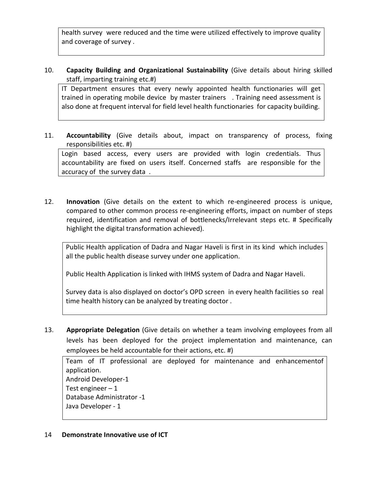health survey were reduced and the time were utilized effectively to improve quality and coverage of survey .

10. **Capacity Building and Organizational Sustainability** (Give details about hiring skilled staff, imparting training etc.#)

IT Department ensures that every newly appointed health functionaries will get trained in operating mobile device by master trainers . Training need assessment is also done at frequent interval for field level health functionaries for capacity building.

11. **Accountability** (Give details about, impact on transparency of process, fixing responsibilities etc. #)

Login based access, every users are provided with login credentials. Thus accountability are fixed on users itself. Concerned staffs are responsible for the accuracy of the survey data .

12. **Innovation** (Give details on the extent to which re-engineered process is unique, compared to other common process re-engineering efforts, impact on number of steps required, identification and removal of bottlenecks/Irrelevant steps etc. # Specifically highlight the digital transformation achieved).

Public Health application of Dadra and Nagar Haveli is first in its kind which includes all the public health disease survey under one application.

Public Health Application is linked with IHMS system of Dadra and Nagar Haveli.

Survey data is also displayed on doctor's OPD screen in every health facilities so real time health history can be analyzed by treating doctor .

13. **Appropriate Delegation** (Give details on whether a team involving employees from all levels has been deployed for the project implementation and maintenance, can employees be held accountable for their actions, etc. #)

Team of IT professional are deployed for maintenance and enhancementof application. Android Developer-1 Test engineer  $-1$ Database Administrator -1 Java Developer - 1

### 14 **Demonstrate Innovative use of ICT**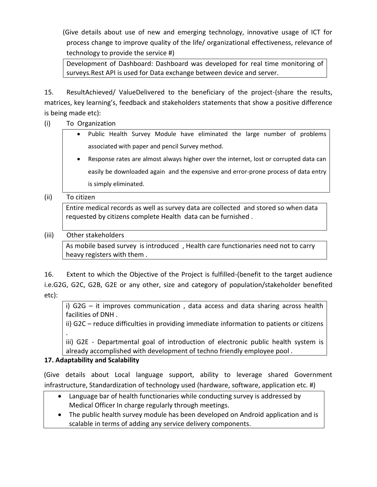(Give details about use of new and emerging technology, innovative usage of ICT for process change to improve quality of the life/ organizational effectiveness, relevance of technology to provide the service #)

Development of Dashboard: Dashboard was developed for real time monitoring of surveys.Rest API is used for Data exchange between device and server.

15. ResultAchieved/ ValueDelivered to the beneficiary of the project-(share the results, matrices, key learning's, feedback and stakeholders statements that show a positive difference is being made etc):

- (i) To Organization
	- Public Health Survey Module have eliminated the large number of problems associated with paper and pencil Survey method.
	- Response rates are almost always higher over the internet, lost or corrupted data can easily be downloaded again and the expensive and error-prone process of data entry is simply eliminated.

## (ii) To citizen

Entire medical records as well as survey data are collected and stored so when data requested by citizens complete Health data can be furnished .

# (iii) Other stakeholders

As mobile based survey is introduced , Health care functionaries need not to carry heavy registers with them .

16. Extent to which the Objective of the Project is fulfilled-(benefit to the target audience i.e.G2G, G2C, G2B, G2E or any other, size and category of population/stakeholder benefited etc):

i) G2G – it improves communication , data access and data sharing across health facilities of DNH .

ii) G2C – reduce difficulties in providing immediate information to patients or citizens .

iii) G2E - Departmental goal of introduction of electronic public health system is already accomplished with development of techno friendly employee pool .

# **17. Adaptability and Scalability**

(Give details about Local language support, ability to leverage shared Government infrastructure, Standardization of technology used (hardware, software, application etc. #)

- Language bar of health functionaries while conducting survey is addressed by Medical Officer In charge regularly through meetings.
- The public health survey module has been developed on Android application and is scalable in terms of adding any service delivery components.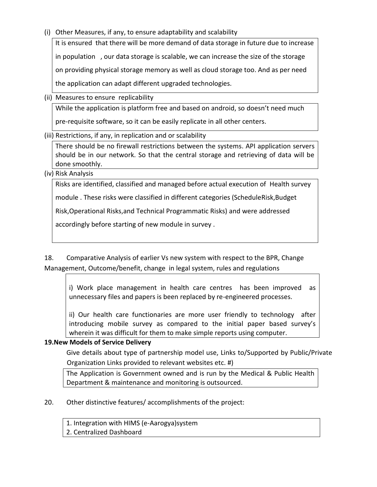(i) Other Measures, if any, to ensure adaptability and scalability

It is ensured that there will be more demand of data storage in future due to increase in population , our data storage is scalable, we can increase the size of the storage on providing physical storage memory as well as cloud storage too. And as per need the application can adapt different upgraded technologies.

(ii) Measures to ensure replicability

While the application is platform free and based on android, so doesn't need much

pre-requisite software, so it can be easily replicate in all other centers.

(iii) Restrictions, if any, in replication and or scalability

There should be no firewall restrictions between the systems. API application servers should be in our network. So that the central storage and retrieving of data will be done smoothly.

(iv) Risk Analysis

Risks are identified, classified and managed before actual execution of Health survey

module . These risks were classified in different categories (ScheduleRisk,Budget

Risk,Operational Risks,and Technical Programmatic Risks) and were addressed

accordingly before starting of new module in survey .

18. Comparative Analysis of earlier Vs new system with respect to the BPR, Change Management, Outcome/benefit, change in legal system, rules and regulations

i) Work place management in health care centres has been improved as unnecessary files and papers is been replaced by re-engineered processes.

ii) Our health care functionaries are more user friendly to technology after introducing mobile survey as compared to the initial paper based survey's wherein it was difficult for them to make simple reports using computer.

# **19.New Models of Service Delivery**

Give details about type of partnership model use, Links to/Supported by Public/Private Organization Links provided to relevant websites etc. #)

The Application is Government owned and is run by the Medical & Public Health Department & maintenance and monitoring is outsourced.

20. Other distinctive features/ accomplishments of the project:

1. Integration with HIMS (e-Aarogya)system

2. Centralized Dashboard